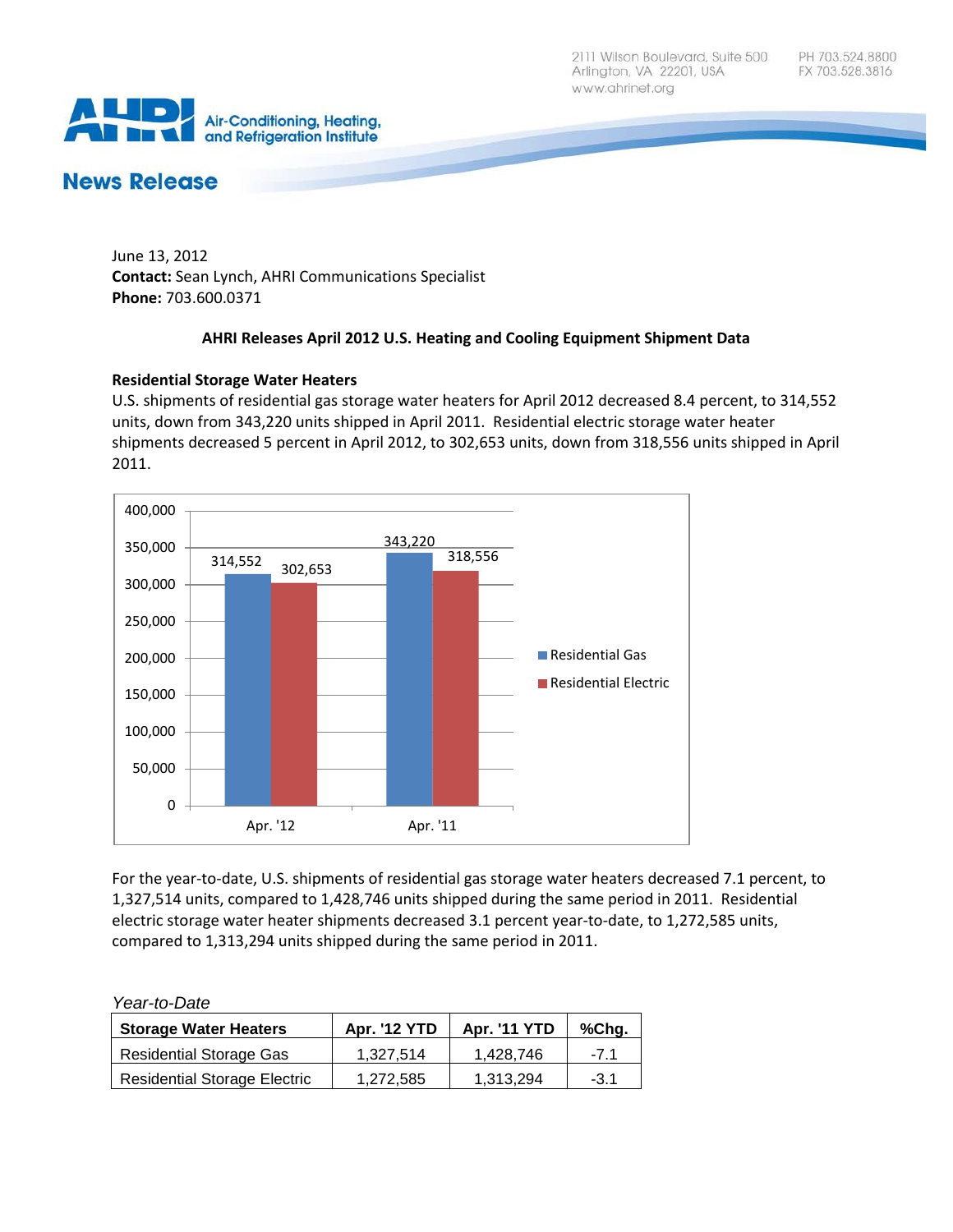2111 Wilson Boulevard, Suite 500 Arlington, VA 22201, USA www.ahrinet.org



# **News Release**

June 13, 2012 **Contact:** Sean Lynch, AHRI Communications Specialist **Phone:** 703.600.0371

## **AHRI Releases April 2012 U.S. Heating and Cooling Equipment Shipment Data**

## **Residential Storage Water Heaters**

U.S. shipments of residential gas storage water heaters for April 2012 decreased 8.4 percent, to 314,552 units, down from 343,220 units shipped in April 2011. Residential electric storage water heater shipments decreased 5 percent in April 2012, to 302,653 units, down from 318,556 units shipped in April 2011.



For the year-to-date, U.S. shipments of residential gas storage water heaters decreased 7.1 percent, to 1,327,514 units, compared to 1,428,746 units shipped during the same period in 2011. Residential electric storage water heater shipments decreased 3.1 percent year-to-date, to 1,272,585 units, compared to 1,313,294 units shipped during the same period in 2011.

### *Year-to-Date*

| <b>Storage Water Heaters</b>        | <b>Apr. '12 YTD</b> | <b>Apr. '11 YTD</b> | %Chg.  |
|-------------------------------------|---------------------|---------------------|--------|
| <b>Residential Storage Gas</b>      | 1.327.514           | 1.428.746           | -71    |
| <b>Residential Storage Electric</b> | 1,272,585           | 1.313.294           | $-3.1$ |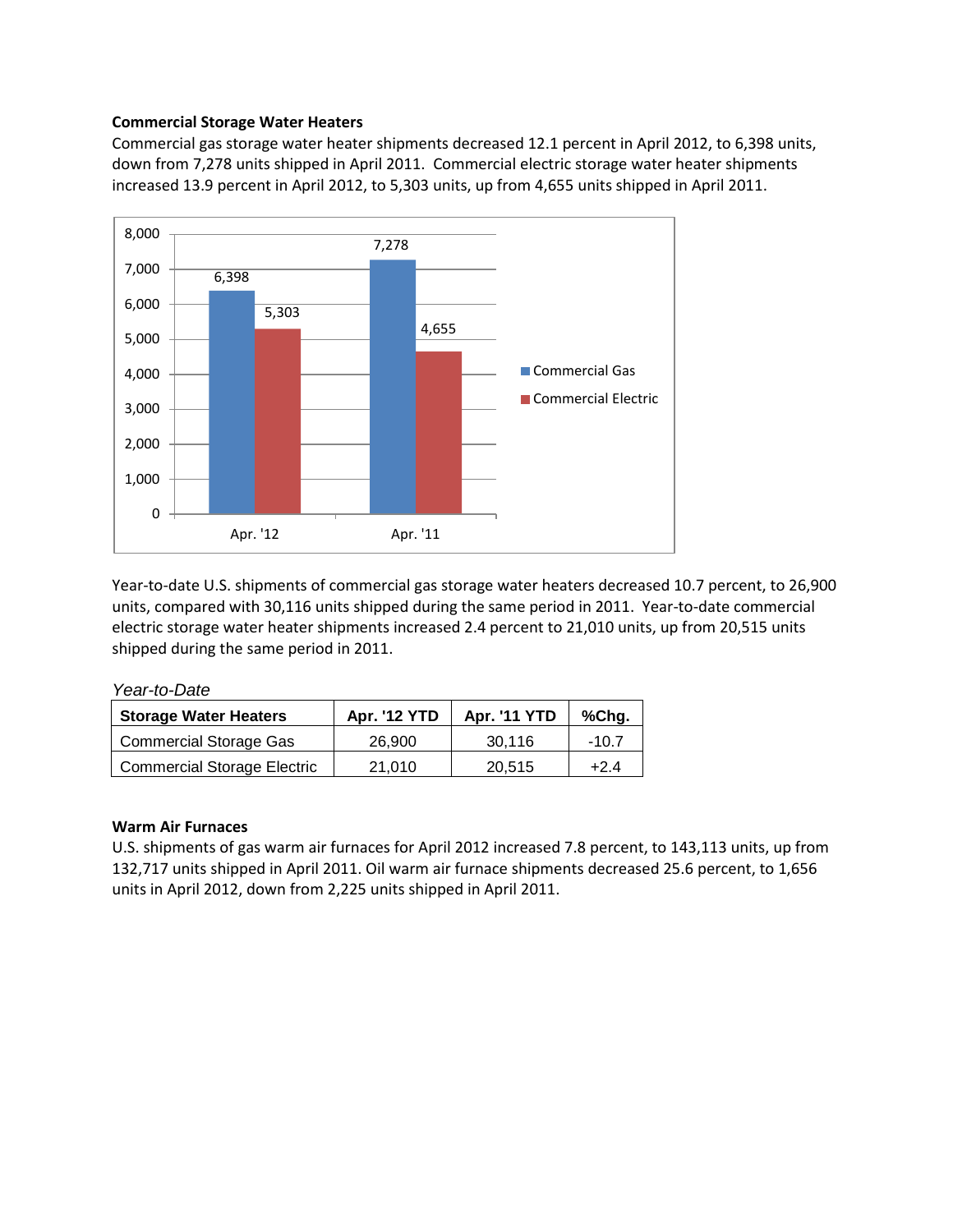## **Commercial Storage Water Heaters**

Commercial gas storage water heater shipments decreased 12.1 percent in April 2012, to 6,398 units, down from 7,278 units shipped in April 2011. Commercial electric storage water heater shipments increased 13.9 percent in April 2012, to 5,303 units, up from 4,655 units shipped in April 2011.



Year-to-date U.S. shipments of commercial gas storage water heaters decreased 10.7 percent, to 26,900 units, compared with 30,116 units shipped during the same period in 2011. Year-to-date commercial electric storage water heater shipments increased 2.4 percent to 21,010 units, up from 20,515 units shipped during the same period in 2011.

*Year-to-Date*

| <b>Storage Water Heaters</b>       | <b>Apr. '12 YTD</b> | <b>Apr. '11 YTD</b> | %Chg. |
|------------------------------------|---------------------|---------------------|-------|
| <b>Commercial Storage Gas</b>      | 26,900              | 30.116              | -10.7 |
| <b>Commercial Storage Electric</b> | 21.010              | 20.515              | +24   |

### **Warm Air Furnaces**

U.S. shipments of gas warm air furnaces for April 2012 increased 7.8 percent, to 143,113 units, up from 132,717 units shipped in April 2011. Oil warm air furnace shipments decreased 25.6 percent, to 1,656 units in April 2012, down from 2,225 units shipped in April 2011.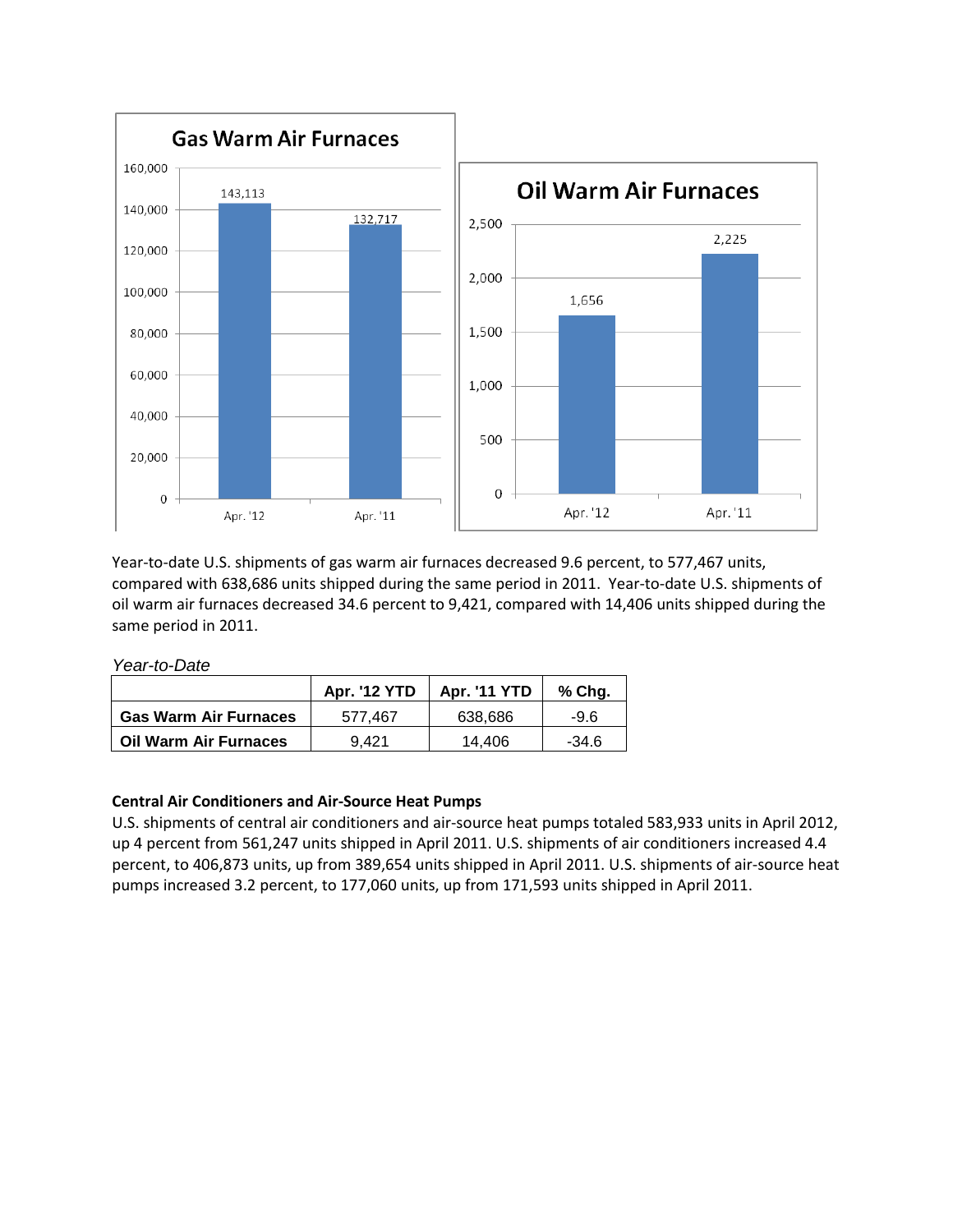

Year-to-date U.S. shipments of gas warm air furnaces decreased 9.6 percent, to 577,467 units, compared with 638,686 units shipped during the same period in 2011. Year-to-date U.S. shipments of oil warm air furnaces decreased 34.6 percent to 9,421, compared with 14,406 units shipped during the same period in 2011.

*Year-to-Date*

|                              | <b>Apr. '12 YTD</b> | <b>Apr. '11 YTD</b> | $%$ Chg. |
|------------------------------|---------------------|---------------------|----------|
| <b>Gas Warm Air Furnaces</b> | 577.467             | 638.686             | -9.6     |
| <b>Oil Warm Air Furnaces</b> | 9.421               | 14.406              | $-34.6$  |

# **Central Air Conditioners and Air-Source Heat Pumps**

U.S. shipments of central air conditioners and air-source heat pumps totaled 583,933 units in April 2012, up 4 percent from 561,247 units shipped in April 2011. U.S. shipments of air conditioners increased 4.4 percent, to 406,873 units, up from 389,654 units shipped in April 2011. U.S. shipments of air-source heat pumps increased 3.2 percent, to 177,060 units, up from 171,593 units shipped in April 2011.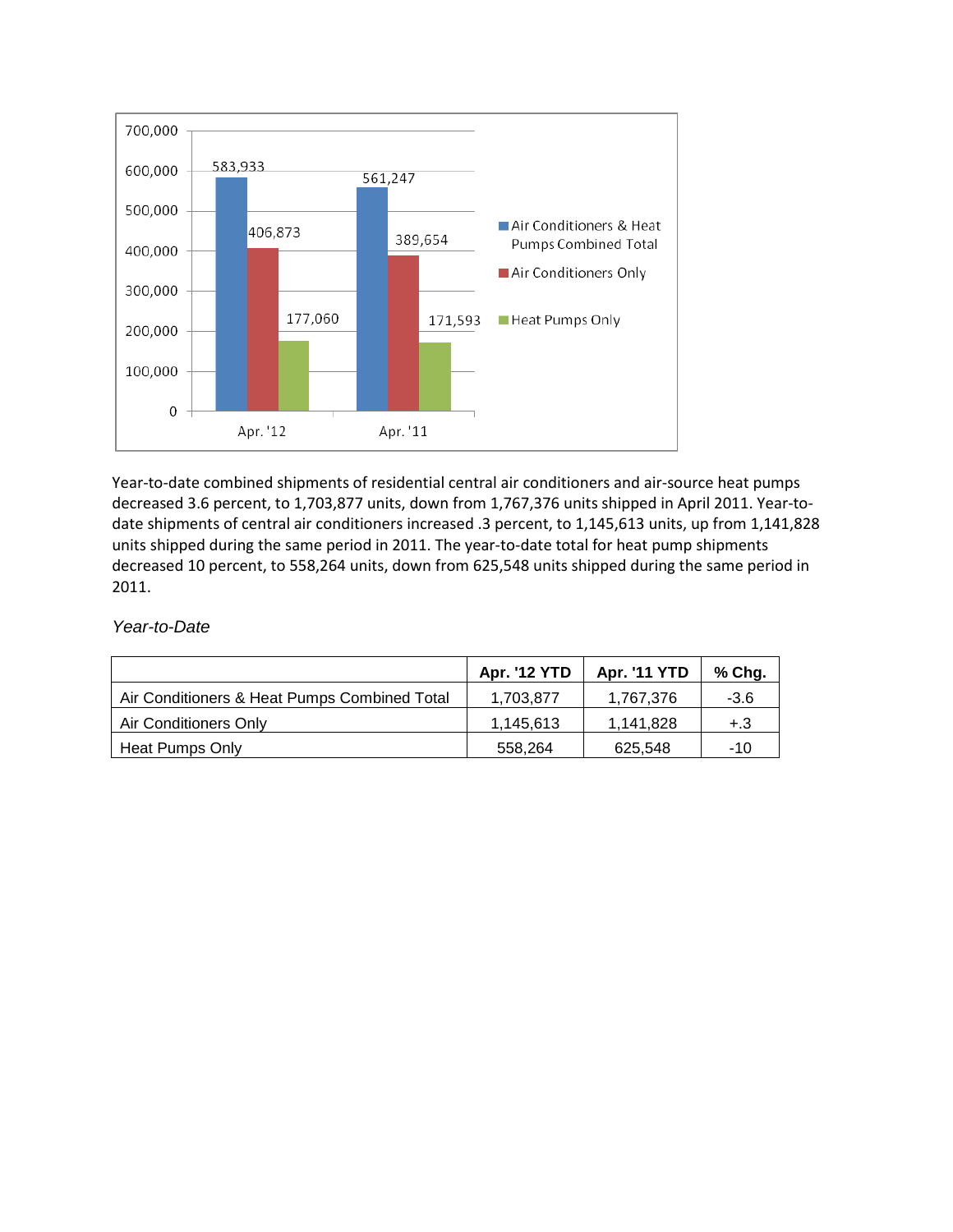

Year-to-date combined shipments of residential central air conditioners and air-source heat pumps decreased 3.6 percent, to 1,703,877 units, down from 1,767,376 units shipped in April 2011. Year-todate shipments of central air conditioners increased .3 percent, to 1,145,613 units, up from 1,141,828 units shipped during the same period in 2011. The year-to-date total for heat pump shipments decreased 10 percent, to 558,264 units, down from 625,548 units shipped during the same period in 2011.

## *Year-to-Date*

|                                              | <b>Apr. '12 YTD</b> | <b>Apr. '11 YTD</b> | % Chg. |
|----------------------------------------------|---------------------|---------------------|--------|
| Air Conditioners & Heat Pumps Combined Total | 1,703,877           | 1,767,376           | -3.6   |
| Air Conditioners Only                        | 1.145.613           | 1,141,828           | $+.3$  |
| Heat Pumps Only                              | 558.264             | 625,548             | -10    |